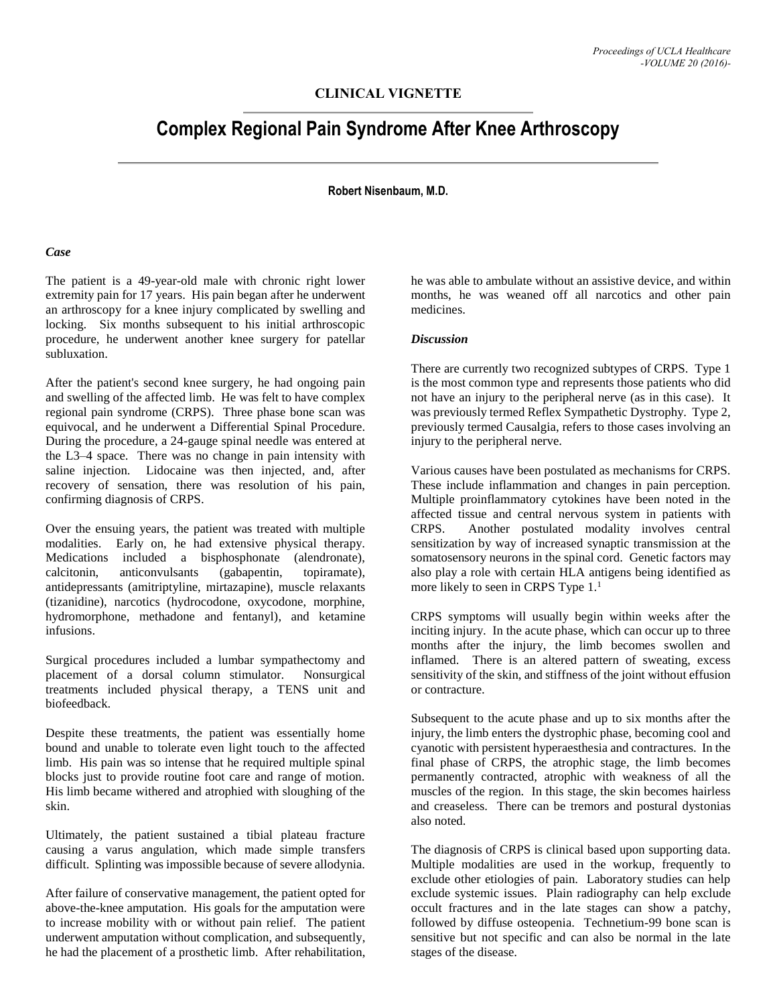## **CLINICAL VIGNETTE**

# **Complex Regional Pain Syndrome After Knee Arthroscopy**

#### **Robert Nisenbaum, M.D.**

### *Case*

The patient is a 49-year-old male with chronic right lower extremity pain for 17 years. His pain began after he underwent an arthroscopy for a knee injury complicated by swelling and locking. Six months subsequent to his initial arthroscopic procedure, he underwent another knee surgery for patellar subluxation.

After the patient's second knee surgery, he had ongoing pain and swelling of the affected limb. He was felt to have complex regional pain syndrome (CRPS). Three phase bone scan was equivocal, and he underwent a Differential Spinal Procedure. During the procedure, a 24-gauge spinal needle was entered at the L3–4 space. There was no change in pain intensity with saline injection. Lidocaine was then injected, and, after recovery of sensation, there was resolution of his pain, confirming diagnosis of CRPS.

Over the ensuing years, the patient was treated with multiple modalities. Early on, he had extensive physical therapy. Medications included a bisphosphonate (alendronate), calcitonin, anticonvulsants (gabapentin, topiramate), antidepressants (amitriptyline, mirtazapine), muscle relaxants (tizanidine), narcotics (hydrocodone, oxycodone, morphine, hydromorphone, methadone and fentanyl), and ketamine infusions.

Surgical procedures included a lumbar sympathectomy and placement of a dorsal column stimulator. Nonsurgical treatments included physical therapy, a TENS unit and biofeedback.

Despite these treatments, the patient was essentially home bound and unable to tolerate even light touch to the affected limb. His pain was so intense that he required multiple spinal blocks just to provide routine foot care and range of motion. His limb became withered and atrophied with sloughing of the skin.

Ultimately, the patient sustained a tibial plateau fracture causing a varus angulation, which made simple transfers difficult. Splinting was impossible because of severe allodynia.

After failure of conservative management, the patient opted for above-the-knee amputation. His goals for the amputation were to increase mobility with or without pain relief. The patient underwent amputation without complication, and subsequently, he had the placement of a prosthetic limb. After rehabilitation,

he was able to ambulate without an assistive device, and within months, he was weaned off all narcotics and other pain medicines.

#### *Discussion*

There are currently two recognized subtypes of CRPS. Type 1 is the most common type and represents those patients who did not have an injury to the peripheral nerve (as in this case). It was previously termed Reflex Sympathetic Dystrophy. Type 2, previously termed Causalgia, refers to those cases involving an injury to the peripheral nerve.

Various causes have been postulated as mechanisms for CRPS. These include inflammation and changes in pain perception. Multiple proinflammatory cytokines have been noted in the affected tissue and central nervous system in patients with CRPS. Another postulated modality involves central sensitization by way of increased synaptic transmission at the somatosensory neurons in the spinal cord. Genetic factors may also play a role with certain HLA antigens being identified as more likely to seen in CRPS Type 1.<sup>1</sup>

CRPS symptoms will usually begin within weeks after the inciting injury. In the acute phase, which can occur up to three months after the injury, the limb becomes swollen and inflamed. There is an altered pattern of sweating, excess sensitivity of the skin, and stiffness of the joint without effusion or contracture.

Subsequent to the acute phase and up to six months after the injury, the limb enters the dystrophic phase, becoming cool and cyanotic with persistent hyperaesthesia and contractures. In the final phase of CRPS, the atrophic stage, the limb becomes permanently contracted, atrophic with weakness of all the muscles of the region. In this stage, the skin becomes hairless and creaseless. There can be tremors and postural dystonias also noted.

The diagnosis of CRPS is clinical based upon supporting data. Multiple modalities are used in the workup, frequently to exclude other etiologies of pain. Laboratory studies can help exclude systemic issues. Plain radiography can help exclude occult fractures and in the late stages can show a patchy, followed by diffuse osteopenia. Technetium-99 bone scan is sensitive but not specific and can also be normal in the late stages of the disease.